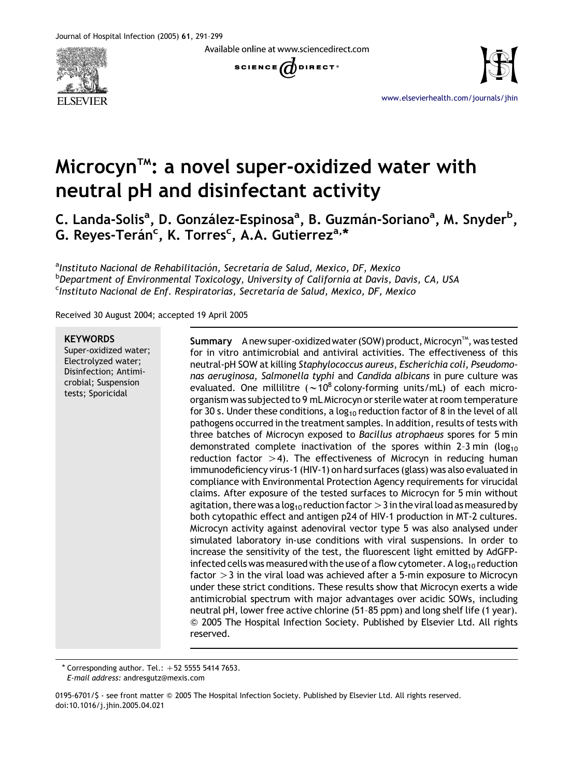Available online at www.sciencedirect.com







[www.elsevierhealth.com/journals/jhin](http://www.elsevierhealth.com/journals/jhin)

# Microcyn<sup> $\mathsf{m}$ </sup>: a novel super-oxidized water with neutral pH and disinfectant activity

C. Landa-Solis<sup>a</sup>, D. González-Espinosa<sup>a</sup>, B. Guzmán-Soriano<sup>a</sup>, M. Snyder<sup>b</sup>, G. Reyes-Terán<sup>c</sup>, K. Torres<sup>c</sup>, A.A. Gutierrez<sup>a,\*</sup>

<sup>a</sup>Instituto Nacional de Rehabilitación, Secretaría de Salud, Mexico, DF, Mexico <sup>b</sup>Department of Environmental Toxicology, University of California at Davis, Davis, CA, USA <sup>c</sup>Instituto Nacional de Enf. Respiratorias, Secretaría de Salud, Mexico, DF, Mexico

Received 30 August 2004; accepted 19 April 2005

#### **KEYWORDS**

Super-oxidized water; Electrolyzed water; Disinfection; Antimicrobial; Suspension tests; Sporicidal

Summary Anew super-oxidized water (SOW) product, Microcyn™, was tested for in vitro antimicrobial and antiviral activities. The effectiveness of this neutral-pH SOW at killing Staphylococcus aureus, Escherichia coli, Pseudomonas aeruginosa, Salmonella typhi and Candida albicans in pure culture was evaluated. One millilitre  $({\sim}10^8 \text{ colony-forming units/mL})$  of each microorganism was subjected to 9 mL Microcyn or sterile water at room temperature for 30 s. Under these conditions, a  $log_{10}$  reduction factor of 8 in the level of all pathogens occurred in the treatment samples. In addition, results of tests with three batches of Microcyn exposed to Bacillus atrophaeus spores for 5 min demonstrated complete inactivation of the spores within 2-3 min ( $log_{10}$ ) reduction factor  $>4$ ). The effectiveness of Microcyn in reducing human immunodeficiency virus-1 (HIV-1) on hard surfaces (glass) was also evaluated in compliance with Environmental Protection Agency requirements for virucidal claims. After exposure of the tested surfaces to Microcyn for 5 min without agitation, there was a log<sub>10</sub> reduction factor  $>$  3 in the viral load as measured by both cytopathic effect and antigen p24 of HIV-1 production in MT-2 cultures. Microcyn activity against adenoviral vector type 5 was also analysed under simulated laboratory in-use conditions with viral suspensions. In order to increase the sensitivity of the test, the fluorescent light emitted by AdGFPinfected cells was measured with the use of a flow cytometer. A log<sub>10</sub> reduction factor  $>3$  in the viral load was achieved after a 5-min exposure to Microcyn under these strict conditions. These results show that Microcyn exerts a wide antimicrobial spectrum with major advantages over acidic SOWs, including neutral pH, lower free active chlorine (51–85 ppm) and long shelf life (1 year). Q 2005 The Hospital Infection Society. Published by Elsevier Ltd. All rights reserved.

 $*$  Corresponding author. Tel.:  $+52$  5555 5414 7653. E-mail address: andresgutz@mexis.com

0195-6701/S - see front matter © 2005 The Hospital Infection Society. Published by Elsevier Ltd. All rights reserved. doi:10.1016/j.jhin.2005.04.021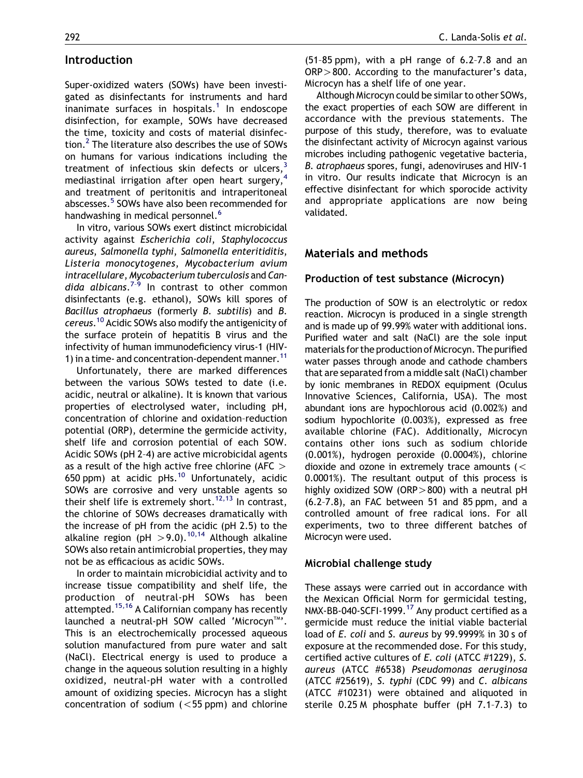# Introduction

Super-oxidized waters (SOWs) have been investigated as disinfectants for instruments and hard inanimate surfaces in hospitals.<sup>[1](#page-7-0)</sup> In endoscope disinfection, for example, SOWs have decreased the time, toxicity and costs of material disinfection.[2](#page-7-0) The literature also describes the use of SOWs on humans for various indications including the treatment of infectious skin defects or ulcers,  $3$ mediastinal irrigation after open heart surgery,<sup>[4](#page-7-0)</sup> and treatment of peritonitis and intraperitoneal abscesses.<sup>[5](#page-7-0)</sup> SOWs have also been recommended for handwashing in medical personnel.<sup>[6](#page-7-0)</sup>

In vitro, various SOWs exert distinct microbicidal activity against Escherichia coli, Staphylococcus aureus, Salmonella typhi, Salmonella enteritiditis, Listeria monocytogenes, Mycobacterium avium intracellulare, Mycobacterium tuberculosis and Candida albicans.<sup>7-9</sup> In contrast to other common disinfectants (e.g. ethanol), SOWs kill spores of Bacillus atrophaeus (formerly B. subtilis) and B. cereus. [10](#page-8-0) Acidic SOWs also modify the antigenicity of the surface protein of hepatitis B virus and the infectivity of human immunodeficiency virus-1 (HIV-1) in a time- and concentration-dependent manner.<sup>[11](#page-8-0)</sup>

Unfortunately, there are marked differences between the various SOWs tested to date (i.e. acidic, neutral or alkaline). It is known that various properties of electrolysed water, including pH, concentration of chlorine and oxidation–reduction potential (ORP), determine the germicide activity, shelf life and corrosion potential of each SOW. Acidic SOWs (pH 2–4) are active microbicidal agents as a result of the high active free chlorine (AFC  $>$ 650 ppm) at acidic pHs. $^{10}$  $^{10}$  $^{10}$  Unfortunately, acidic SOWs are corrosive and very unstable agents so their shelf life is extremely short.<sup>[12,13](#page-8-0)</sup> In contrast, the chlorine of SOWs decreases dramatically with the increase of pH from the acidic (pH 2.5) to the alkaline region (pH  $>$  9.0).<sup>[10,14](#page-8-0)</sup> Although alkaline SOWs also retain antimicrobial properties, they may not be as efficacious as acidic SOWs.

In order to maintain microbicidial activity and to increase tissue compatibility and shelf life, the production of neutral-pH SOWs has been attempted.<sup>15,16</sup> A Californian company has recently launched a neutral-pH SOW called 'Microcyn™'. This is an electrochemically processed aqueous solution manufactured from pure water and salt (NaCl). Electrical energy is used to produce a change in the aqueous solution resulting in a highly oxidized, neutral-pH water with a controlled amount of oxidizing species. Microcyn has a slight concentration of sodium  $(<55$  ppm) and chlorine (51–85 ppm), with a pH range of 6.2–7.8 and an  $ORP > 800$ . According to the manufacturer's data, Microcyn has a shelf life of one year.

Although Microcyn could be similar to other SOWs, the exact properties of each SOW are different in accordance with the previous statements. The purpose of this study, therefore, was to evaluate the disinfectant activity of Microcyn against various microbes including pathogenic vegetative bacteria, B. atrophaeus spores, fungi, adenoviruses and HIV-1 in vitro. Our results indicate that Microcyn is an effective disinfectant for which sporocide activity and appropriate applications are now being validated.

# Materials and methods

## Production of test substance (Microcyn)

The production of SOW is an electrolytic or redox reaction. Microcyn is produced in a single strength and is made up of 99.99% water with additional ions. Purified water and salt (NaCl) are the sole input materials for the production of Microcyn. The purified water passes through anode and cathode chambers that are separated from a middle salt (NaCl) chamber by ionic membranes in REDOX equipment (Oculus Innovative Sciences, California, USA). The most abundant ions are hypochlorous acid (0.002%) and sodium hypochlorite (0.003%), expressed as free available chlorine (FAC). Additionally, Microcyn contains other ions such as sodium chloride (0.001%), hydrogen peroxide (0.0004%), chlorine dioxide and ozone in extremely trace amounts  $\left($  < 0.0001%). The resultant output of this process is highly oxidized SOW (ORP $>800$ ) with a neutral pH (6.2–7.8), an FAC between 51 and 85 ppm, and a controlled amount of free radical ions. For all experiments, two to three different batches of Microcyn were used.

## Microbial challenge study

These assays were carried out in accordance with the Mexican Official Norm for germicidal testing, NMX-BB-040-SCFI-1999.<sup>[17](#page-8-0)</sup> Any product certified as a germicide must reduce the initial viable bacterial load of E. coli and S. aureus by 99.9999% in 30 s of exposure at the recommended dose. For this study, certified active cultures of E. coli (ATCC #1229), S. aureus (ATCC #6538) Pseudomonas aeruginosa  $(ATCC$   $#25619)$ , S. typhi $(CDC 99)$  and C. albicans (ATCC #10231) were obtained and aliquoted in sterile 0.25 M phosphate buffer (pH 7.1–7.3) to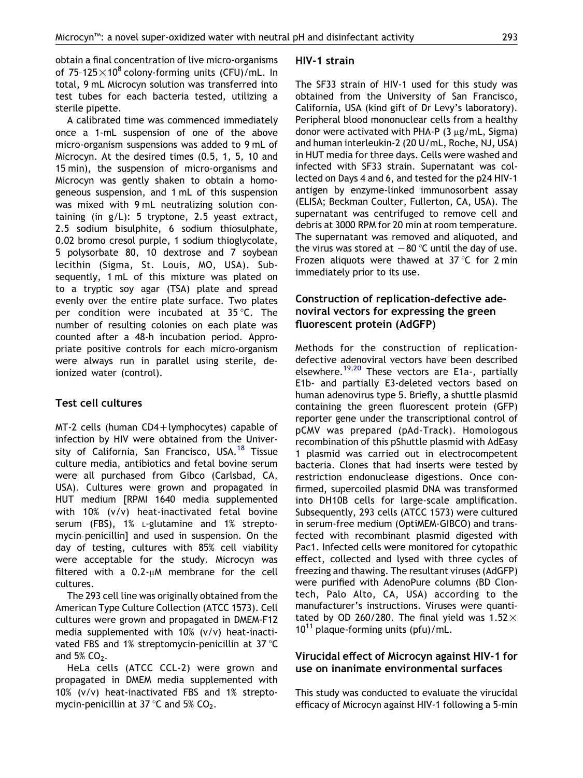obtain a final concentration of live micro-organisms of 75-125 $\times$ 10<sup>8</sup> colony-forming units (CFU)/mL. In total, 9 mL Microcyn solution was transferred into test tubes for each bacteria tested, utilizing a sterile pipette.

A calibrated time was commenced immediately once a 1-mL suspension of one of the above micro-organism suspensions was added to 9 mL of Microcyn. At the desired times (0.5, 1, 5, 10 and 15 min), the suspension of micro-organisms and Microcyn was gently shaken to obtain a homogeneous suspension, and 1 mL of this suspension was mixed with 9 mL neutralizing solution containing (in g/L): 5 tryptone, 2.5 yeast extract, 2.5 sodium bisulphite, 6 sodium thiosulphate, 0.02 bromo cresol purple, 1 sodium thioglycolate, 5 polysorbate 80, 10 dextrose and 7 soybean lecithin (Sigma, St. Louis, MO, USA). Subsequently, 1 mL of this mixture was plated on to a tryptic soy agar (TSA) plate and spread evenly over the entire plate surface. Two plates per condition were incubated at  $35^{\circ}$ C. The number of resulting colonies on each plate was counted after a 48-h incubation period. Appropriate positive controls for each micro-organism were always run in parallel using sterile, deionized water (control).

## Test cell cultures

 $MT-2$  cells (human CD4+lymphocytes) capable of infection by HIV were obtained from the Univer-sity of California, San Francisco, USA.<sup>[18](#page-8-0)</sup> Tissue culture media, antibiotics and fetal bovine serum were all purchased from Gibco (Carlsbad, CA, USA). Cultures were grown and propagated in HUT medium [RPMI 1640 media supplemented with 10% (v/v) heat-inactivated fetal bovine serum (FBS), 1% L-glutamine and 1% streptomycin–penicillin] and used in suspension. On the day of testing, cultures with 85% cell viability were acceptable for the study. Microcyn was filtered with a  $0.2$ - $\mu$ M membrane for the cell cultures.

The 293 cell line was originally obtained from the American Type Culture Collection (ATCC 1573). Cell cultures were grown and propagated in DMEM-F12 media supplemented with 10% (v/v) heat-inactivated FBS and 1% streptomycin-penicillin at 37 $\degree$ C and 5%  $CO<sub>2</sub>$ .

HeLa cells (ATCC CCL-2) were grown and propagated in DMEM media supplemented with 10% (v/v) heat-inactivated FBS and 1% streptomycin-penicillin at 37  $\degree$ C and 5% CO<sub>2</sub>.

### HIV-1 strain

The SF33 strain of HIV-1 used for this study was obtained from the University of San Francisco, California, USA (kind gift of Dr Levy's laboratory). Peripheral blood mononuclear cells from a healthy donor were activated with PHA-P  $(3 \mu g/mL, Sigma)$ and human interleukin-2 (20 U/mL, Roche, NJ, USA) in HUT media for three days. Cells were washed and infected with SF33 strain. Supernatant was collected on Days 4 and 6, and tested for the p24 HIV-1 antigen by enzyme-linked immunosorbent assay (ELISA; Beckman Coulter, Fullerton, CA, USA). The supernatant was centrifuged to remove cell and debris at 3000 RPM for 20 min at room temperature. The supernatant was removed and aliquoted, and the virus was stored at  $-80$  °C until the day of use. Frozen aliquots were thawed at 37 °C for 2 min immediately prior to its use.

# Construction of replication-defective adenoviral vectors for expressing the green fluorescent protein (AdGFP)

Methods for the construction of replicationdefective adenoviral vectors have been described elsewhere.<sup>[19,20](#page-8-0)</sup> These vectors are E1a-, partially E1b- and partially E3-deleted vectors based on human adenovirus type 5. Briefly, a shuttle plasmid containing the green fluorescent protein (GFP) reporter gene under the transcriptional control of pCMV was prepared (pAd-Track). Homologous recombination of this pShuttle plasmid with AdEasy 1 plasmid was carried out in electrocompetent bacteria. Clones that had inserts were tested by restriction endonuclease digestions. Once confirmed, supercoiled plasmid DNA was transformed into DH10B cells for large-scale amplification. Subsequently, 293 cells (ATCC 1573) were cultured in serum-free medium (OptiMEM-GIBCO) and transfected with recombinant plasmid digested with Pac1. Infected cells were monitored for cytopathic effect, collected and lysed with three cycles of freezing and thawing. The resultant viruses (AdGFP) were purified with AdenoPure columns (BD Clontech, Palo Alto, CA, USA) according to the manufacturer's instructions. Viruses were quantitated by OD 260/280. The final yield was  $1.52\times$  $10^{11}$  plaque-forming units (pfu)/mL.

# Virucidal effect of Microcyn against HIV-1 for use on inanimate environmental surfaces

This study was conducted to evaluate the virucidal efficacy of Microcyn against HIV-1 following a 5-min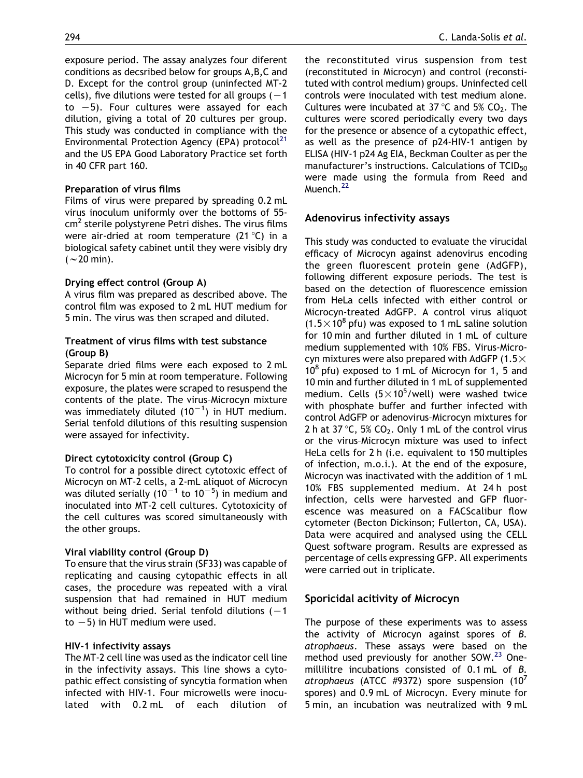exposure period. The assay analyzes four diferent conditions as decsribed below for groups A,B,C and D. Except for the control group (uninfected MT-2 cells), five dilutions were tested for all groups  $(-1)$ to  $-5$ ). Four cultures were assayed for each dilution, giving a total of 20 cultures per group. This study was conducted in compliance with the Environmental Protection Agency (EPA) protocol $^{21}$  $^{21}$  $^{21}$ and the US EPA Good Laboratory Practice set forth in 40 CFR part 160.

#### Preparation of virus films

Films of virus were prepared by spreading 0.2 mL virus inoculum uniformly over the bottoms of 55  $cm<sup>2</sup>$  sterile polystyrene Petri dishes. The virus films were air-dried at room temperature  $(21 \degree C)$  in a biological safety cabinet until they were visibly dry  $( $\sim$  20 min).$ 

#### Drying effect control (Group A)

A virus film was prepared as described above. The control film was exposed to 2 mL HUT medium for 5 min. The virus was then scraped and diluted.

## Treatment of virus films with test substance (Group B)

Separate dried films were each exposed to 2 mL Microcyn for 5 min at room temperature. Following exposure, the plates were scraped to resuspend the contents of the plate. The virus–Microcyn mixture was immediately diluted (10<sup>-1</sup>) in HUT medium. Serial tenfold dilutions of this resulting suspension were assayed for infectivity.

#### Direct cytotoxicity control (Group C)

To control for a possible direct cytotoxic effect of Microcyn on MT-2 cells, a 2-mL aliquot of Microcyn was diluted serially (10 $^{-1}$  to 10 $^{-5}$ ) in medium and inoculated into MT-2 cell cultures. Cytotoxicity of the cell cultures was scored simultaneously with the other groups.

#### Viral viability control (Group D)

To ensure that the virus strain (SF33) was capable of replicating and causing cytopathic effects in all cases, the procedure was repeated with a viral suspension that had remained in HUT medium without being dried. Serial tenfold dilutions  $(-1)$ to  $-5$ ) in HUT medium were used.

#### HIV-1 infectivity assays

The MT-2 cell line was used as the indicator cell line in the infectivity assays. This line shows a cytopathic effect consisting of syncytia formation when infected with HIV-1. Four microwells were inoculated with 0.2 mL of each dilution of the reconstituted virus suspension from test (reconstituted in Microcyn) and control (reconstituted with control medium) groups. Uninfected cell controls were inoculated with test medium alone. Cultures were incubated at 37 °C and 5% CO<sub>2</sub>. The cultures were scored periodically every two days for the presence or absence of a cytopathic effect, as well as the presence of p24-HIV-1 antigen by ELISA (HIV-1 p24 Ag EIA, Beckman Coulter as per the manufacturer's instructions. Calculations of  $TCID_{50}$ were made using the formula from Reed and Muench.<sup>[22](#page-8-0)</sup>

#### Adenovirus infectivity assays

This study was conducted to evaluate the virucidal efficacy of Microcyn against adenovirus encoding the green fluorescent protein gene (AdGFP), following different exposure periods. The test is based on the detection of fluorescence emission from HeLa cells infected with either control or Microcyn-treated AdGFP. A control virus aliquot  $(1.5 \times 10^8$  pfu) was exposed to 1 mL saline solution for 10 min and further diluted in 1 mL of culture medium supplemented with 10% FBS. Virus-Microcyn mixtures were also prepared with AdGFP (1.5 $\times$  $10^8$  pfu) exposed to 1 mL of Microcyn for 1, 5 and 10 min and further diluted in 1 mL of supplemented medium. Cells  $(5 \times 10^5$ /well) were washed twice with phosphate buffer and further infected with control AdGFP or adenovirus–Microcyn mixtures for 2 h at 37 °C, 5% CO<sub>2</sub>. Only 1 mL of the control virus or the virus–Microcyn mixture was used to infect HeLa cells for 2 h (i.e. equivalent to 150 multiples of infection, m.o.i.). At the end of the exposure, Microcyn was inactivated with the addition of 1 mL 10% FBS supplemented medium. At 24 h post infection, cells were harvested and GFP fluorescence was measured on a FACScalibur flow cytometer (Becton Dickinson; Fullerton, CA, USA). Data were acquired and analysed using the CELL Quest software program. Results are expressed as percentage of cells expressing GFP. All experiments were carried out in triplicate.

#### Sporicidal acitivity of Microcyn

The purpose of these experiments was to assess the activity of Microcyn against spores of B. atrophaeus. These assays were based on the method used previously for another SOW.<sup>[23](#page-8-0)</sup> Onemillilitre incubations consisted of 0.1 mL of B. atrophaeus (ATCC #9372) spore suspension  $(10^7)$ spores) and 0.9 mL of Microcyn. Every minute for 5 min, an incubation was neutralized with 9 mL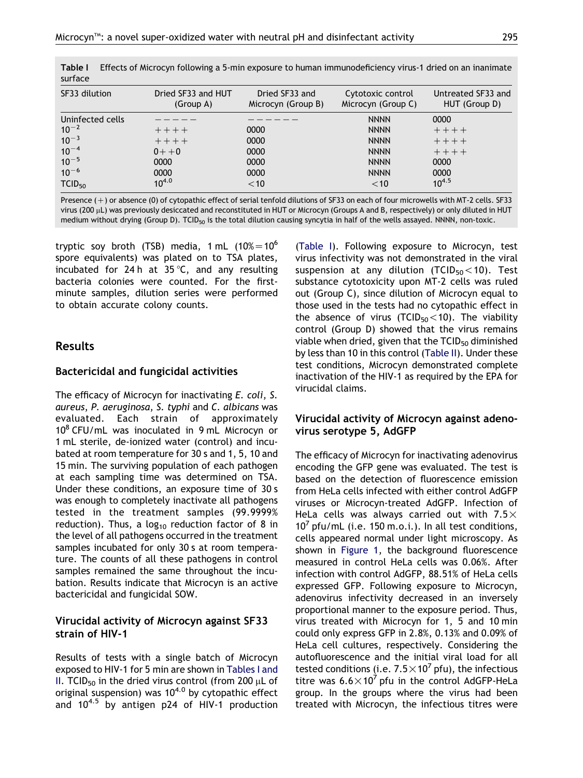| surface            |                                 |                                      |                                         |                                     |
|--------------------|---------------------------------|--------------------------------------|-----------------------------------------|-------------------------------------|
| SF33 dilution      | Dried SF33 and HUT<br>(Group A) | Dried SF33 and<br>Microcyn (Group B) | Cytotoxic control<br>Microcyn (Group C) | Untreated SF33 and<br>HUT (Group D) |
| Uninfected cells   |                                 |                                      | <b>NNNN</b>                             | 0000                                |
| $10^{-2}$          | $++++$                          | 0000                                 | <b>NNNN</b>                             | $++++$                              |
| $10^{-3}$          | $++++$                          | 0000                                 | <b>NNNN</b>                             | $++++$                              |
| $10^{-4}$          | $0 + +0$                        | 0000                                 | <b>NNNN</b>                             | $++++$                              |
| $10^{-5}$          | 0000                            | 0000                                 | <b>NNNN</b>                             | 0000                                |
| $10^{-6}$          | 0000                            | 0000                                 | <b>NNNN</b>                             | 0000                                |
| TCID <sub>50</sub> | $10^{4.0}$                      | $<$ 10                               | $<$ 10                                  | $10^{4.5}$                          |

Table I Effects of Microcyn following a 5-min exposure to human immunodeficiency virus-1 dried on an inanimate

Presence  $(+)$  or absence (0) of cytopathic effect of serial tenfold dilutions of SF33 on each of four microwells with MT-2 cells. SF33 virus (200 µL) was previously desiccated and reconstituted in HUT or Microcyn (Groups A and B, respectively) or only diluted in HUT medium without drying (Group D). TCID<sub>50</sub> is the total dilution causing syncytia in half of the wells assayed. NNNN, non-toxic.

tryptic soy broth (TSB) media, 1 mL  $(10\% = 10^6$ spore equivalents) was plated on to TSA plates, incubated for 24 h at 35  $°C$ , and any resulting bacteria colonies were counted. For the firstminute samples, dilution series were performed to obtain accurate colony counts.

# Results

## Bactericidal and fungicidal activities

The efficacy of Microcyn for inactivating E. coli, S. aureus, P. aeruginosa, S. typhi and C. albicans was evaluated. Each strain of approximately  $10^8$  CFU/mL was inoculated in 9 mL Microcyn or 1 mL sterile, de-ionized water (control) and incubated at room temperature for 30 s and 1, 5, 10 and 15 min. The surviving population of each pathogen at each sampling time was determined on TSA. Under these conditions, an exposure time of 30 s was enough to completely inactivate all pathogens tested in the treatment samples (99.9999% reduction). Thus, a  $log_{10}$  reduction factor of 8 in the level of all pathogens occurred in the treatment samples incubated for only 30 s at room temperature. The counts of all these pathogens in control samples remained the same throughout the incubation. Results indicate that Microcyn is an active bactericidal and fungicidal SOW.

## Virucidal activity of Microcyn against SF33 strain of HIV-1

Results of tests with a single batch of Microcyn exposed to HIV-1 for 5 min are shown in Tables I and II. TCID<sub>50</sub> in the dried virus control (from 200  $\mu$ L of original suspension) was  $10^{4.0}$  by cytopathic effect and  $10^{4.5}$  by antigen p24 of HIV-1 production

(Table I). Following exposure to Microcyn, test virus infectivity was not demonstrated in the viral suspension at any dilution (TCID $_{50}$  < 10). Test substance cytotoxicity upon MT-2 cells was ruled out (Group C), since dilution of Microcyn equal to those used in the tests had no cytopathic effect in the absence of virus (TCID<sub>50</sub> $<$ 10). The viability control (Group D) showed that the virus remains viable when dried, given that the  $TCID_{50}$  diminished by less than 10 in this control ([Table II\)](#page-5-0). Under these test conditions, Microcyn demonstrated complete inactivation of the HIV-1 as required by the EPA for virucidal claims.

## Virucidal activity of Microcyn against adenovirus serotype 5, AdGFP

The efficacy of Microcyn for inactivating adenovirus encoding the GFP gene was evaluated. The test is based on the detection of fluorescence emission from HeLa cells infected with either control AdGFP viruses or Microcyn-treated AdGFP. Infection of HeLa cells was always carried out with  $7.5\times$  $10^7$  pfu/mL (i.e. 150 m.o.i.). In all test conditions, cells appeared normal under light microscopy. As shown in [Figure 1,](#page-5-0) the background fluorescence measured in control HeLa cells was 0.06%. After infection with control AdGFP, 88.51% of HeLa cells expressed GFP. Following exposure to Microcyn, adenovirus infectivity decreased in an inversely proportional manner to the exposure period. Thus, virus treated with Microcyn for 1, 5 and 10 min could only express GFP in 2.8%, 0.13% and 0.09% of HeLa cell cultures, respectively. Considering the autofluorescence and the initial viral load for all tested conditions (i.e.  $7.5 \times 10^7$  pfu), the infectious titre was  $6.6 \times 10^7$  pfu in the control AdGFP-HeLa group. In the groups where the virus had been treated with Microcyn, the infectious titres were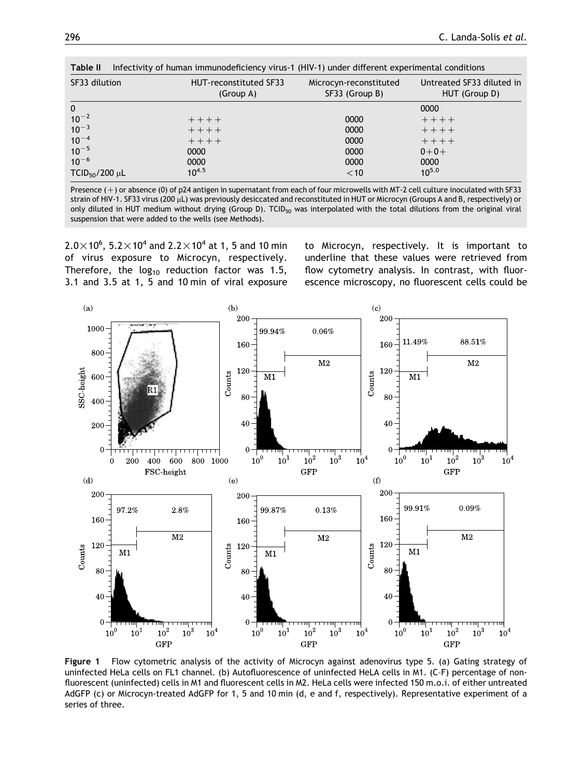<span id="page-5-0"></span>

| Infectivity of human immunodeficiency virus-1 (HIV-1) under different experimental conditions<br>Table II |  |                                     |                                          |                                            |  |
|-----------------------------------------------------------------------------------------------------------|--|-------------------------------------|------------------------------------------|--------------------------------------------|--|
| SF33 dilution                                                                                             |  | HUT-reconstituted SF33<br>(Group A) | Microcyn-reconstituted<br>SF33 (Group B) | Untreated SF33 diluted in<br>HUT (Group D) |  |
| $\mathbf{0}$                                                                                              |  |                                     |                                          | 0000                                       |  |
| $10^{-2}$                                                                                                 |  | $+ + + +$                           | 0000                                     | $+++++$                                    |  |
| $10^{-3}$                                                                                                 |  | $++++$                              | 0000                                     | $+ + + +$                                  |  |
| $10^{-4}$                                                                                                 |  | $+++++$                             | 0000                                     | $++++$                                     |  |
| $10^{-5}$                                                                                                 |  | 0000                                | 0000                                     | $0 + 0 +$                                  |  |
| $10^{-6}$                                                                                                 |  | 0000                                | 0000                                     | 0000                                       |  |
| $TCID50/200 \mu L$                                                                                        |  | $10^{4.5}$                          | $<$ 10                                   | $10^{5.0}$                                 |  |

Presence  $(+)$  or absence (0) of p24 antigen in supernatant from each of four microwells with MT-2 cell culture inoculated with SF33 strain of HIV-1. SF33 virus (200 µL) was previously desiccated and reconstituted in HUT or Microcyn (Groups A and B, respectively) or only diluted in HUT medium without drying (Group D). TCID<sub>50</sub> was interpolated with the total dilutions from the original viral suspension that were added to the wells (see Methods).

 $2.0{\times}$ 10 $^{6}$ ,  $5.2{\times}$ 10 $^{4}$  and  $2.2{\times}$ 10 $^{4}$  at 1, 5 and 10 min of virus exposure to Microcyn, respectively. Therefore, the  $log_{10}$  reduction factor was 1.5, 3.1 and 3.5 at 1, 5 and 10 min of viral exposure to Microcyn, respectively. It is important to underline that these values were retrieved from flow cytometry analysis. In contrast, with fluorescence microscopy, no fluorescent cells could be



Figure 1 Flow cytometric analysis of the activity of Microcyn against adenovirus type 5. (a) Gating strategy of uninfected HeLa cells on FL1 channel. (b) Autofluorescence of uninfected HeLA cells in M1. (C–F) percentage of nonfluorescent (uninfected) cells in M1 and fluorescent cells in M2. HeLa cells were infected 150 m.o.i. of either untreated AdGFP (c) or Microcyn-treated AdGFP for 1, 5 and 10 min (d, e and f, respectively). Representative experiment of a series of three.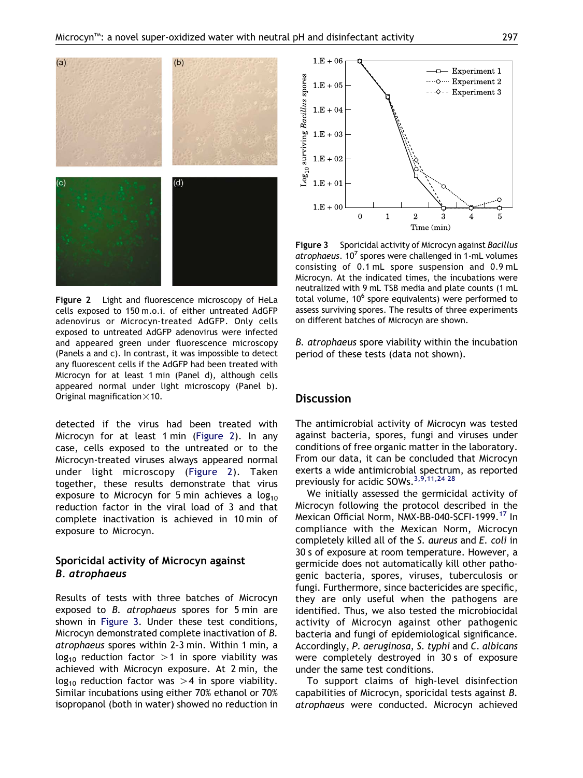

Figure 2 Light and fluorescence microscopy of HeLa cells exposed to 150 m.o.i. of either untreated AdGFP adenovirus or Microcyn-treated AdGFP. Only cells exposed to untreated AdGFP adenovirus were infected and appeared green under fluorescence microscopy (Panels a and c). In contrast, it was impossible to detect any fluorescent cells if the AdGFP had been treated with Microcyn for at least 1 min (Panel d), although cells appeared normal under light microscopy (Panel b). Original magnification  $\times$  10.

detected if the virus had been treated with Microcyn for at least 1 min (Figure 2). In any case, cells exposed to the untreated or to the Microcyn-treated viruses always appeared normal under light microscopy (Figure 2). Taken together, these results demonstrate that virus exposure to Microcyn for 5 min achieves a  $log_{10}$ reduction factor in the viral load of 3 and that complete inactivation is achieved in 10 min of exposure to Microcyn.

# Sporicidal activity of Microcyn against B. atrophaeus

Results of tests with three batches of Microcyn exposed to B. atrophaeus spores for 5 min are shown in Figure 3. Under these test conditions, Microcyn demonstrated complete inactivation of B. atrophaeus spores within 2–3 min. Within 1 min, a  $log_{10}$  reduction factor >1 in spore viability was achieved with Microcyn exposure. At 2 min, the  $log_{10}$  reduction factor was  $>4$  in spore viability. Similar incubations using either 70% ethanol or 70% isopropanol (both in water) showed no reduction in



Figure 3 Sporicidal activity of Microcyn against Bacillus atrophaeus.  $10^7$  spores were challenged in 1-mL volumes consisting of 0.1 mL spore suspension and 0.9 mL Microcyn. At the indicated times, the incubations were neutralized with 9 mL TSB media and plate counts (1 mL total volume, 10<sup>6</sup> spore equivalents) were performed to assess surviving spores. The results of three experiments on different batches of Microcyn are shown.

B. atrophaeus spore viability within the incubation period of these tests (data not shown).

# **Discussion**

The antimicrobial activity of Microcyn was tested against bacteria, spores, fungi and viruses under conditions of free organic matter in the laboratory. From our data, it can be concluded that Microcyn exerts a wide antimicrobial spectrum, as reported previously for acidic SOWs.[3,9,11,24–28](#page-7-0)

We initially assessed the germicidal activity of Microcyn following the protocol described in the Mexican Official Norm, NMX-BB-040-SCFI-1999.<sup>[17](#page-8-0)</sup> In compliance with the Mexican Norm, Microcyn completely killed all of the S. aureus and E. coli in 30 s of exposure at room temperature. However, a germicide does not automatically kill other pathogenic bacteria, spores, viruses, tuberculosis or fungi. Furthermore, since bactericides are specific, they are only useful when the pathogens are identified. Thus, we also tested the microbiocidal activity of Microcyn against other pathogenic bacteria and fungi of epidemiological significance. Accordingly, P. aeruginosa, S. typhi and C. albicans were completely destroyed in 30 s of exposure under the same test conditions.

To support claims of high-level disinfection capabilities of Microcyn, sporicidal tests against B. atrophaeus were conducted. Microcyn achieved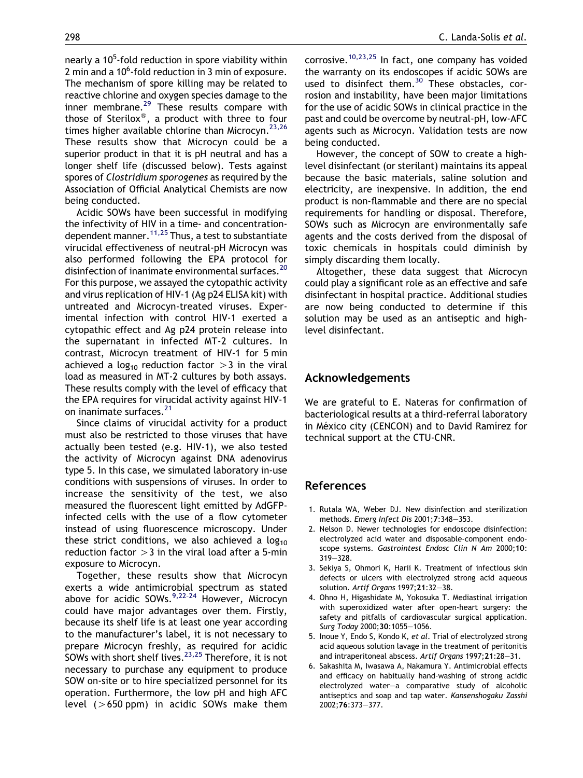<span id="page-7-0"></span>nearly a 10<sup>5</sup>-fold reduction in spore viability within 2 min and a 10<sup>6</sup>-fold reduction in 3 min of exposure. The mechanism of spore killing may be related to reactive chlorine and oxygen species damage to the inner membrane. $^{29}$  $^{29}$  $^{29}$  These results compare with those of Sterilox<sup>®</sup>, a product with three to four times higher available chlorine than Microcyn.<sup>[23,26](#page-8-0)</sup> These results show that Microcyn could be a superior product in that it is pH neutral and has a longer shelf life (discussed below). Tests against spores of Clostridium sporogenes as required by the Association of Official Analytical Chemists are now being conducted.

Acidic SOWs have been successful in modifying the infectivity of HIV in a time- and concentrationdependent manner.  $11,25$  Thus, a test to substantiate virucidal effectiveness of neutral-pH Microcyn was also performed following the EPA protocol for disinfection of inanimate environmental surfaces.<sup>[20](#page-8-0)</sup> For this purpose, we assayed the cytopathic activity and virus replication of HIV-1 (Ag p24 ELISA kit) with untreated and Microcyn-treated viruses. Experimental infection with control HIV-1 exerted a cytopathic effect and Ag p24 protein release into the supernatant in infected MT-2 cultures. In contrast, Microcyn treatment of HIV-1 for 5 min achieved a log<sub>10</sub> reduction factor  $>$ 3 in the viral load as measured in MT-2 cultures by both assays. These results comply with the level of efficacy that the EPA requires for virucidal activity against HIV-1 on inanimate surfaces.<sup>[21](#page-8-0)</sup>

Since claims of virucidal activity for a product must also be restricted to those viruses that have actually been tested (e.g. HIV-1), we also tested the activity of Microcyn against DNA adenovirus type 5. In this case, we simulated laboratory in-use conditions with suspensions of viruses. In order to increase the sensitivity of the test, we also measured the fluorescent light emitted by AdGFPinfected cells with the use of a flow cytometer instead of using fluorescence microscopy. Under these strict conditions, we also achieved a  $log_{10}$ reduction factor  $>$  3 in the viral load after a 5-min exposure to Microcyn.

Together, these results show that Microcyn exerts a wide antimicrobial spectrum as stated above for acidic SOWs.<sup>9,22-24</sup> However, Microcyn could have major advantages over them. Firstly, because its shelf life is at least one year according to the manufacturer's label, it is not necessary to prepare Microcyn freshly, as required for acidic SOWs with short shelf lives.<sup>23,25</sup> Therefore, it is not necessary to purchase any equipment to produce SOW on-site or to hire specialized personnel for its operation. Furthermore, the low pH and high AFC level  $(>650$  ppm) in acidic SOWs make them

corrosive.<sup>[10,23,25](#page-8-0)</sup> In fact, one company has voided the warranty on its endoscopes if acidic SOWs are used to disinfect them. $30$  These obstacles, corrosion and instability, have been major limitations for the use of acidic SOWs in clinical practice in the past and could be overcome by neutral-pH, low-AFC agents such as Microcyn. Validation tests are now being conducted.

However, the concept of SOW to create a highlevel disinfectant (or sterilant) maintains its appeal because the basic materials, saline solution and electricity, are inexpensive. In addition, the end product is non-flammable and there are no special requirements for handling or disposal. Therefore, SOWs such as Microcyn are environmentally safe agents and the costs derived from the disposal of toxic chemicals in hospitals could diminish by simply discarding them locally.

Altogether, these data suggest that Microcyn could play a significant role as an effective and safe disinfectant in hospital practice. Additional studies are now being conducted to determine if this solution may be used as an antiseptic and highlevel disinfectant.

## Acknowledgements

We are grateful to E. Nateras for confirmation of bacteriological results at a third-referral laboratory in México city (CENCON) and to David Ramírez for technical support at the CTU-CNR.

# References

- 1. Rutala WA, Weber DJ. New disinfection and sterilization methods. Emerg Infect Dis 2001;7:348—353.
- 2. Nelson D. Newer technologies for endoscope disinfection: electrolyzed acid water and disposable-component endoscope systems. Gastrointest Endosc Clin N Am 2000;10: 319—328.
- 3. Sekiya S, Ohmori K, Harii K. Treatment of infectious skin defects or ulcers with electrolyzed strong acid aqueous solution. Artif Organs 1997;21:32—38.
- 4. Ohno H, Higashidate M, Yokosuka T. Mediastinal irrigation with superoxidized water after open-heart surgery: the safety and pitfalls of cardiovascular surgical application. Surg Today 2000;30:1055—1056.
- 5. Inoue Y, Endo S, Kondo K, et al. Trial of electrolyzed strong acid aqueous solution lavage in the treatment of peritonitis and intraperitoneal abscess. Artif Organs 1997;21:28—31.
- 6. Sakashita M, Iwasawa A, Nakamura Y. Antimicrobial effects and efficacy on habitually hand-washing of strong acidic electrolyzed water—a comparative study of alcoholic antiseptics and soap and tap water. Kansenshogaku Zasshi 2002;76:373—377.